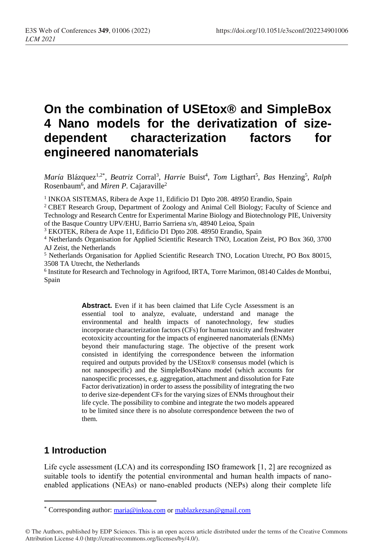# **On the combination of USEtox® and SimpleBox 4 Nano models for the derivatization of sizedependent characterization factors for engineered nanomaterials**

*María* Blázquez<sup>1,2\*</sup>, *Beatriz Corral<sup>3</sup>, Harrie Buist<sup>4</sup>, Tom Ligthart<sup>5</sup>, <i>Bas* Henzing<sup>5</sup>, *Ralph* Rosenbaum<sup>6</sup>, and *Miren P*. Cajaraville<sup>2</sup>

<sup>1</sup> INKOA SISTEMAS, Ribera de Axpe 11, Edificio D1 Dpto 208. 48950 Erandio, Spain

<sup>2</sup>CBET Research Group, Department of Zoology and Animal Cell Biology; Faculty of Science and Technology and Research Centre for Experimental Marine Biology and Biotechnology PIE, University of the Basque Country UPV/EHU, Barrio Sarriena s/n, 48940 Leioa, Spain

<sup>3</sup> EKOTEK, Ribera de Axpe 11, Edificio D1 Dpto 208. 48950 Erandio, Spain

<sup>4</sup> Netherlands Organisation for Applied Scientific Research TNO, Location Zeist, PO Box 360, 3700 AJ Zeist, the Netherlands

<sup>5</sup> Netherlands Organisation for Applied Scientific Research TNO, Location Utrecht, PO Box 80015, 3508 TA Utrecht, the Netherlands

6 Institute for Research and Technology in Agrifood, IRTA, Torre Marimon, 08140 Caldes de Montbui, Spain

> **Abstract.** Even if it has been claimed that Life Cycle Assessment is an essential tool to analyze, evaluate, understand and manage the environmental and health impacts of nanotechnology, few studies incorporate characterization factors (CFs) for human toxicity and freshwater ecotoxicity accounting for the impacts of engineered nanomaterials (ENMs) beyond their manufacturing stage. The objective of the present work consisted in identifying the correspondence between the information required and outputs provided by the USEtox® consensus model (which is not nanospecific) and the SimpleBox4Nano model (which accounts for nanospecific processes, e.g. aggregation, attachment and dissolution for Fate Factor derivatization) in order to assess the possibility of integrating the two to derive size-dependent CFs for the varying sizes of ENMs throughout their life cycle. The possibility to combine and integrate the two models appeared to be limited since there is no absolute correspondence between the two of them.

### **1 Introduction**

 $\overline{a}$ 

Life cycle assessment (LCA) and its corresponding ISO framework [1, 2] are recognized as suitable tools to identify the potential environmental and human health impacts of nanoenabled applications (NEAs) or nano-enabled products (NEPs) along their complete life

<sup>\*</sup> Corresponding author: [maria@inkoa.com](mailto:maria@inkoa.com) or mablazkezsan@gmail.com

<sup>©</sup> The Authors, published by EDP Sciences. This is an open access article distributed under the terms of the Creative Commons Attribution License 4.0 (http://creativecommons.org/licenses/by/4.0/).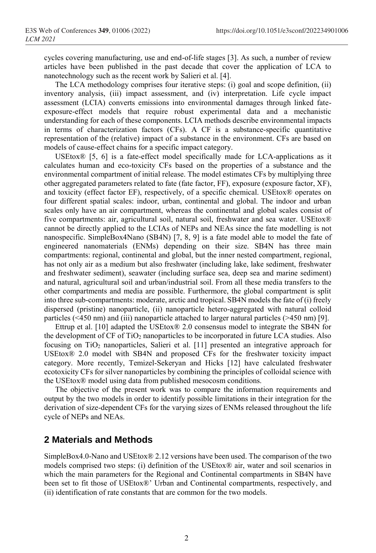cycles covering manufacturing, use and end-of-life stages [3]. As such, a number of review articles have been published in the past decade that cover the application of LCA to nanotechnology such as the recent work by Salieri et al. [4].

The LCA methodology comprises four iterative steps: (i) goal and scope definition, (ii) inventory analysis, (iii) impact assessment, and (iv) interpretation. Life cycle impact assessment (LCIA) converts emissions into environmental damages through linked fateexposure-effect models that require robust experimental data and a mechanistic understanding for each of these components. LCIA methods describe environmental impacts in terms of characterization factors (CFs). A CF is a substance-specific quantitative representation of the (relative) impact of a substance in the environment. CFs are based on models of cause-effect chains for a specific impact category.

USEtox® [5, 6] is a fate-effect model specifically made for LCA-applications as it calculates human and eco-toxicity CFs based on the properties of a substance and the environmental compartment of initial release. The model estimates CFs by multiplying three other aggregated parameters related to fate (fate factor, FF), exposure (exposure factor, XF), and toxicity (effect factor EF), respectively, of a specific chemical. USEtox® operates on four different spatial scales: indoor, urban, continental and global. The indoor and urban scales only have an air compartment, whereas the continental and global scales consist of five compartments: air, agricultural soil, natural soil, freshwater and sea water. USEtox® cannot be directly applied to the LCIAs of NEPs and NEAs since the fate modelling is not nanospecific. SimpleBox4Nano (SB4N) [7, 8, 9] is a fate model able to model the fate of engineered nanomaterials (ENMs) depending on their size. SB4N has three main compartments: regional, continental and global, but the inner nested compartment, regional, has not only air as a medium but also freshwater (including lake, lake sediment, freshwater and freshwater sediment), seawater (including surface sea, deep sea and marine sediment) and natural, agricultural soil and urban/industrial soil. From all these media transfers to the other compartments and media are possible. Furthermore, the global compartment is split into three sub-compartments: moderate, arctic and tropical. SB4N models the fate of (i) freely dispersed (pristine) nanoparticle, (ii) nanoparticle hetero-aggregated with natural colloid particles (<450 nm) and (iii) nanoparticle attached to larger natural particles (>450 nm) [9].

Ettrup et al. [10] adapted the USEtox® 2.0 consensus model to integrate the SB4N for the development of CF of TiO<sup>2</sup> nanoparticles to be incorporated in future LCA studies. Also focusing on  $TiO<sub>2</sub>$  nanoparticles, Salieri et al. [11] presented an integrative approach for USEtox® 2.0 model with SB4N and proposed CFs for the freshwater toxicity impact category. More recently, [Temizel-Sekeryan](https://pubs.rsc.org/en/results?searchtext=Author%3ASila%20Temizel-Sekeryan) and Hicks [12] have calculated freshwater ecotoxicity CFs for silver nanoparticles by combining the principles of colloidal science with the USEtox® model using data from published mesocosm conditions.

The objective of the present work was to compare the information requirements and output by the two models in order to identify possible limitations in their integration for the derivation of size-dependent CFs for the varying sizes of ENMs released throughout the life cycle of NEPs and NEAs.

### **2 Materials and Methods**

SimpleBox4.0-Nano and USEtox® 2.12 versions have been used. The comparison of the two models comprised two steps: (i) definition of the USEtox® air, water and soil scenarios in which the main parameters for the Regional and Continental compartments in SB4N have been set to fit those of USEtox®' Urban and Continental compartments, respectively, and (ii) identification of rate constants that are common for the two models.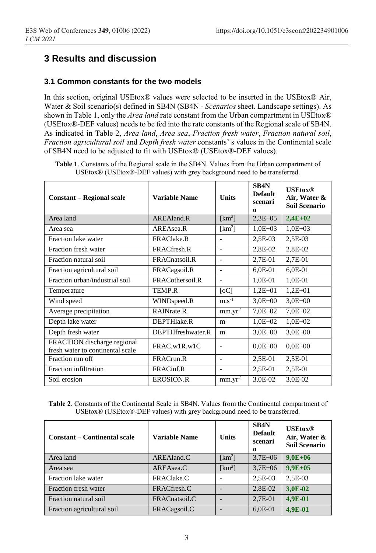# **3 Results and discussion**

#### **3.1 Common constants for the two models**

In this section, original USEtox® values were selected to be inserted in the USEtox® Air, Water & Soil scenario(s) defined in SB4N (SB4N - *Scenarios* sheet. Landscape settings). As shown in Table 1, only the *Area land* rate constant from the Urban compartment in USEtox® (USEtox®-DEF values) needs to be fed into the rate constants of the Regional scale of SB4N. As indicated in Table 2, *Area land*, *Area sea*, *Fraction fresh water*, *Fraction natural soil*, *Fraction agricultural soil* and *Depth fresh water* constants' s values in the Continental scale of SB4N need to be adjusted to fit with USEtox® (USEtox®-DEF values).

| <b>Table 1.</b> Constants of the Regional scale in the SB4N. Values from the Urban compartment of |
|---------------------------------------------------------------------------------------------------|
| USEtox® (USEtox®-DEF values) with grey background need to be transferred.                         |

| <b>Constant – Regional scale</b>                                | <b>Variable Name</b>  | <b>Units</b>                 | SB <sub>4</sub> N<br><b>Default</b><br>scenari<br>$\Omega$ | <b>USEtox®</b><br>Air, Water &<br><b>Soil Scenario</b> |
|-----------------------------------------------------------------|-----------------------|------------------------------|------------------------------------------------------------|--------------------------------------------------------|
| Area land                                                       | AREAland <sub>R</sub> | $[km^2]$                     | $2,3E+05$                                                  | $2,4E+02$                                              |
| Area sea                                                        | AREAsea.R             | $[km^2]$                     | $1,0E+03$                                                  | $1,0E+03$                                              |
| Fraction lake water                                             | <b>FRAClake.R</b>     | $\overline{\phantom{a}}$     | 2,5E-03                                                    | 2,5E-03                                                |
| Fraction fresh water                                            | FRACfresh.R           | $\overline{\phantom{a}}$     | 2,8E-02                                                    | 2,8E-02                                                |
| Fraction natural soil                                           | FRACnatsoil.R         | $\qquad \qquad \blacksquare$ | 2,7E-01                                                    | 2,7E-01                                                |
| Fraction agricultural soil                                      | FRACagsoil.R          | $\overline{\phantom{a}}$     | $6,0E-01$                                                  | $6,0E-01$                                              |
| Fraction urban/industrial soil                                  | FRACothersoil.R       | $\overline{\phantom{a}}$     | 1,0E-01                                                    | 1,0E-01                                                |
| Temperature                                                     | TEMP R                | [oC]                         | $1,2E+01$                                                  | $1,2E+01$                                              |
| Wind speed                                                      | WINDspeed.R           | $m.s^{-1}$                   | $3.0E + 00$                                                | $3,0E+00$                                              |
| Average precipitation                                           | RAINrate.R            | $mm.yr^{-1}$                 | $7,0E+02$                                                  | $7.0E + 02$                                            |
| Depth lake water                                                | DEPTHlake.R           | m                            | $1,0E+02$                                                  | $1,0E+02$                                              |
| Depth fresh water                                               | DEPTHfreshwater.R     | m                            | $3,0E+00$                                                  | $3,0E+00$                                              |
| FRACTION discharge regional<br>fresh water to continental scale | FRAC.w1R.w1C          | $\overline{\phantom{0}}$     | $0.0E + 00$                                                | $0.0E + 00$                                            |
| Fraction run off                                                | FRACrun.R             | $\overline{\phantom{0}}$     | 2,5E-01                                                    | 2,5E-01                                                |
| Fraction infiltration                                           | FRACinf.R             |                              | $2,5E-01$                                                  | 2,5E-01                                                |
| Soil erosion                                                    | <b>EROSION.R</b>      | $mm.vr-1$                    | 3,0E-02                                                    | 3,0E-02                                                |

**Table 2**. Constants of the Continental Scale in SB4N. Values from the Continental compartment of USEtox® (USEtox®-DEF values) with grey background need to be transferred.

| <b>Constant – Continental scale</b> | Variable Name | <b>Units</b> | SB <sub>4N</sub><br><b>Default</b><br>scenari<br>$\Omega$ | <b>USEtox®</b><br>Air, Water &<br><b>Soil Scenario</b> |
|-------------------------------------|---------------|--------------|-----------------------------------------------------------|--------------------------------------------------------|
| Area land                           | AREAland.C    | $[km^2]$     | $3,7E+06$                                                 | $9,0E+06$                                              |
| Area sea                            | AREAsea.C     | $[km^2]$     | $3,7E+06$                                                 | $9.9E + 05$                                            |
| Fraction lake water                 | FRAClake.C    |              | 2,5E-03                                                   | $2.5E-03$                                              |
| Fraction fresh water                | FRACfresh.C   |              | 2,8E-02                                                   | 3.0E-02                                                |
| Fraction natural soil               | FRACnatsoil.C |              | 2,7E-01                                                   | 4.9E-01                                                |
| Fraction agricultural soil          | FRACagsoil.C  |              | $6,0E-01$                                                 | 4.9E-01                                                |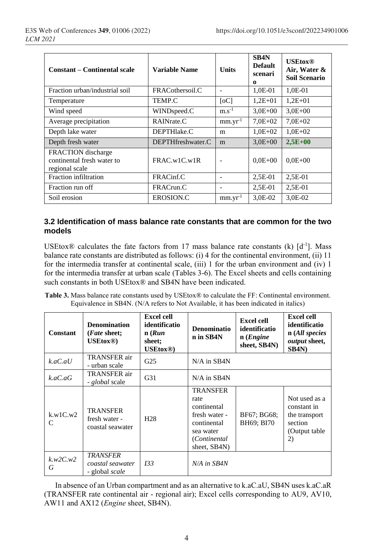| <b>Constant – Continental scale</b>                                       | Variable Name     | <b>Units</b>    | SB4N<br><b>Default</b><br>scenari<br>$\Omega$ | <b>USEtox®</b><br>Air, Water &<br>Soil Scenario |
|---------------------------------------------------------------------------|-------------------|-----------------|-----------------------------------------------|-------------------------------------------------|
| Fraction urban/industrial soil                                            | FRACothersoil.C   |                 | 1,0E-01                                       | 1.0E-01                                         |
| Temperature                                                               | TEMP.C            | [oC]            | $1,2E+01$                                     | $1.2E + 01$                                     |
| Wind speed                                                                | WINDspeed.C       | $m.s^{-1}$      | $3,0E+00$                                     | $3,0E+00$                                       |
| Average precipitation                                                     | RAINrate.C        | $mm.yr^{-1}$    | $7,0E+02$                                     | $7,0E+02$                                       |
| Depth lake water                                                          | DEPTHlake.C       | m               | $1,0E+02$                                     | $1,0E+02$                                       |
| Depth fresh water                                                         | DEPTHfreshwater.C | m               | $3,0E+00$                                     | $2,5E+00$                                       |
| <b>FRACTION</b> discharge<br>continental fresh water to<br>regional scale | FRAC.w1C.w1R      | $\qquad \qquad$ | $0.0E + 00$                                   | $0.0E + 00$                                     |
| Fraction infiltration                                                     | FRACinf.C         |                 | 2,5E-01                                       | $2.5E-01$                                       |
| Fraction run off                                                          | FRACrun.C         |                 | $2,5E-01$                                     | $2,5E-01$                                       |
| Soil erosion                                                              | EROSION.C         | $mm.yr^{-1}$    | 3,0E-02                                       | 3,0E-02                                         |

#### **3.2 Identification of mass balance rate constants that are common for the two models**

USEtox<sup>®</sup> calculates the fate factors from 17 mass balance rate constants (k)  $[d^{-1}]$ . Mass balance rate constants are distributed as follows: (i) 4 for the continental environment, (ii) 11 for the intermedia transfer at continental scale, (iii) 1 for the urban environment and (iv) 1 for the intermedia transfer at urban scale (Tables 3-6). The Excel sheets and cells containing such constants in both USE tox<sup>®</sup> and SB4N have been indicated.

**Table 3.** Mass balance rate constants used by USEtox® to calculate the FF: Continental environment. Equivalence in SB4N. (N/A refers to Not Available, it has been indicated in italics)

| Constant      | <b>Denomination</b><br>( <i>Fate</i> sheet;<br><b>USEtox®</b> | <b>Excel cell</b><br>identificatio<br>n(Run)<br>sheet;<br><b>USEtox®</b> | <b>Denominatio</b><br>n in SB4N                                                                                     | <b>Excel cell</b><br>identificatio<br>n(Engine)<br>sheet, SB4N) | <b>Excel cell</b><br>identificatio<br>n (All species<br>output sheet,<br>SB4N)   |
|---------------|---------------------------------------------------------------|--------------------------------------------------------------------------|---------------------------------------------------------------------------------------------------------------------|-----------------------------------------------------------------|----------------------------------------------------------------------------------|
| k.aC.aU       | <b>TRANSFER</b> air<br>- urban scale                          | G <sub>25</sub>                                                          | $N/A$ in SB4N                                                                                                       |                                                                 |                                                                                  |
| k.aC.aG       | TRANSFER air<br>- <i>global</i> scale                         | G <sub>31</sub>                                                          | $N/A$ in SB4N                                                                                                       |                                                                 |                                                                                  |
| k.w1C.w2<br>C | <b>TRANSFER</b><br>fresh water -<br>coastal seawater          | H <sub>28</sub>                                                          | <b>TRANSFER</b><br>rate<br>continental<br>fresh water -<br>continental<br>sea water<br>(Continental<br>sheet, SB4N) | BF67; BG68;<br>BH69; BI70                                       | Not used as a<br>constant in<br>the transport<br>section<br>(Output table)<br>2) |
| k.w2C.w2<br>G | <b>TRANSFER</b><br>coastal seawater<br>- global <i>scale</i>  | 133                                                                      | $N/A$ in SB4N                                                                                                       |                                                                 |                                                                                  |

In absence of an Urban compartment and as an alternative to k.aC.aU, SB4N uses k.aC.aR (TRANSFER rate continental air - regional air); Excel cells corresponding to AU9, AV10, AW11 and AX12 (*Engine* sheet, SB4N).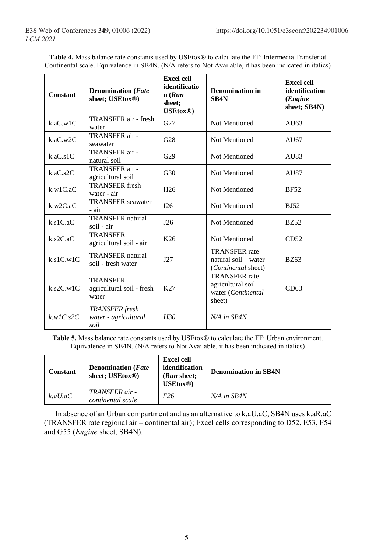**Table 4.** Mass balance rate constants used by USEtox® to calculate the FF: Intermedia Transfer at Continental scale. Equivalence in SB4N. (N/A refers to Not Available, it has been indicated in italics)

| Constant     | <b>Denomination</b> (Fate<br>sheet; USEtox <sup>®</sup> ) | <b>Excel cell</b><br>identificatio<br>n(Run)<br>sheet:<br>USEtox <sup>®</sup> ) | <b>Denomination in</b><br>SB <sub>4</sub> N                                 | <b>Excel cell</b><br>identification<br>( <i>Engine</i><br>sheet; SB4N) |
|--------------|-----------------------------------------------------------|---------------------------------------------------------------------------------|-----------------------------------------------------------------------------|------------------------------------------------------------------------|
| k.aC.w1C     | TRANSFER air - fresh<br>water                             | G27                                                                             | Not Mentioned                                                               | AU $63$                                                                |
| k.aC.w2C     | TRANSFER air -<br>seawater                                | G28                                                                             | Not Mentioned                                                               | AU67                                                                   |
| k.aC.s1C     | TRANSFER air -<br>natural soil                            | G29                                                                             | Not Mentioned                                                               | AU83                                                                   |
| k.aC.s2C     | TRANSFER air -<br>agricultural soil                       | G30                                                                             | Not Mentioned                                                               | AU87                                                                   |
| k.w1C.aC     | <b>TRANSFER</b> fresh<br>water - air                      | H <sub>26</sub>                                                                 | Not Mentioned                                                               | <b>BF52</b>                                                            |
| k.w2C.aC     | <b>TRANSFER</b> seawater<br>- air                         | I26                                                                             | Not Mentioned                                                               | <b>BJ52</b>                                                            |
| k.s1C.aC     | <b>TRANSFER</b> natural<br>soil - air                     | J26                                                                             | Not Mentioned                                                               | <b>BZ52</b>                                                            |
| $k$ .s2C.aC  | <b>TRANSFER</b><br>agricultural soil - air                | K26                                                                             | Not Mentioned                                                               | CD52                                                                   |
| k.s1C.w1C    | <b>TRANSFER</b> natural<br>soil - fresh water             | J27                                                                             | <b>TRANSFER</b> rate<br>natural soil – water<br>(Continental sheet)         | <b>BZ63</b>                                                            |
| $k$ .s2C.w1C | <b>TRANSFER</b><br>agricultural soil - fresh<br>water     | K27                                                                             | <b>TRANSFER</b> rate<br>agricultural soil -<br>water (Continental<br>sheet) | CD63                                                                   |
| k.wIC.s2C    | <b>TRANSFER</b> fresh<br>water - agricultural<br>soil     | H30                                                                             | $N/A$ in $SB4N$                                                             |                                                                        |

**Table 5.** Mass balance rate constants used by USEtox® to calculate the FF: Urban environment. Equivalence in SB4N. (N/A refers to Not Available, it has been indicated in italics)

| Constant | <b>Denomination</b> ( <i>Fate</i><br>sheet; USEtox <sup>®</sup> ) | <b>Excel cell</b><br>identification<br>( <i>Run</i> sheet;<br><b>USEtox®</b> | <b>Denomination in SB4N</b> |
|----------|-------------------------------------------------------------------|------------------------------------------------------------------------------|-----------------------------|
| k.aU.aC  | TRANSFER air -<br>continental scale                               | F <sub>26</sub>                                                              | $N/A$ in SB4N               |

In absence of an Urban compartment and as an alternative to k.aU.aC, SB4N uses k.aR.aC (TRANSFER rate regional air – continental air); Excel cells corresponding to D52, E53, F54 and G55 (*Engine* sheet, SB4N).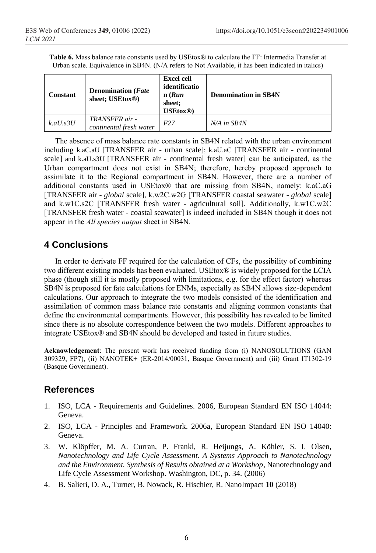**Table 6.** Mass balance rate constants used by USEtox® to calculate the FF: Intermedia Transfer at Urban scale. Equivalence in SB4N. (N/A refers to Not Available, it has been indicated in italics)

| Constant    | <b>Denomination</b> ( <i>Fate</i><br>sheet; USEtox <sup>®</sup> ) | <b>Excel cell</b><br>identificatio<br>$n$ ( <i>Run</i> )<br>sheet;<br><b>USEtox®</b> | <b>Denomination in SB4N</b> |
|-------------|-------------------------------------------------------------------|--------------------------------------------------------------------------------------|-----------------------------|
| $k.aU$ .s3U | TRANSFER air -<br>continental fresh water                         | F27                                                                                  | $N/A$ in $SB4N$             |

The absence of mass balance rate constants in SB4N related with the urban environment including k.aC.aU [TRANSFER air - urban scale]; k.aU.aC [TRANSFER air - continental scale] and k.aU.s3U [TRANSFER air - continental fresh water] can be anticipated, as the Urban compartment does not exist in SB4N; therefore, hereby proposed approach to assimilate it to the Regional compartment in SB4N. However, there are a number of additional constants used in USEtox® that are missing from SB4N, namely: k.aC.aG [TRANSFER air - *global* scale], k.w2C.w2G [TRANSFER coastal seawater - *global* scale] and k.w1C.s2C [TRANSFER fresh water - agricultural soil]. Additionally, k.w1C.w2C [TRANSFER fresh water - coastal seawater] is indeed included in SB4N though it does not appear in the *All species output* sheet in SB4N.

### **4 Conclusions**

In order to derivate FF required for the calculation of CFs, the possibility of combining two different existing models has been evaluated. USEtox® is widely proposed for the LCIA phase (though still it is mostly proposed with limitations, e.g. for the effect factor) whereas SB4N is proposed for fate calculations for ENMs, especially as SB4N allows size-dependent calculations. Our approach to integrate the two models consisted of the identification and assimilation of common mass balance rate constants and aligning common constants that define the environmental compartments. However, this possibility has revealed to be limited since there is no absolute correspondence between the two models. Different approaches to integrate USEtox® and SB4N should be developed and tested in future studies.

**Acknowledgement**: The present work has received funding from (i) NANOSOLUTIONS (GAN 309329, FP7), (ii) NANOTEK+ (ER-2014/00031, Basque Government) and (iii) Grant IT1302-19 (Basque Government).

## **References**

- 1. ISO, LCA Requirements and Guidelines. 2006, European Standard EN ISO 14044: Geneva.
- 2. ISO, LCA Principles and Framework. 2006a, European Standard EN ISO 14040: Geneva.
- 3. W. Klöpffer, M. A. Curran, P. Frankl, R. Heijungs, A. Köhler, S. I. Olsen, *Nanotechnology and Life Cycle Assessment. A Systems Approach to Nanotechnology and the Environment. Synthesis of Results obtained at a Workshop*, Nanotechnology and Life Cycle Assessment Workshop. Washington, DC, p. 34. (2006)
- 4. B. Salieri, D. A., Turner, B. Nowack, R. Hischier, R. NanoImpact **10** (2018)